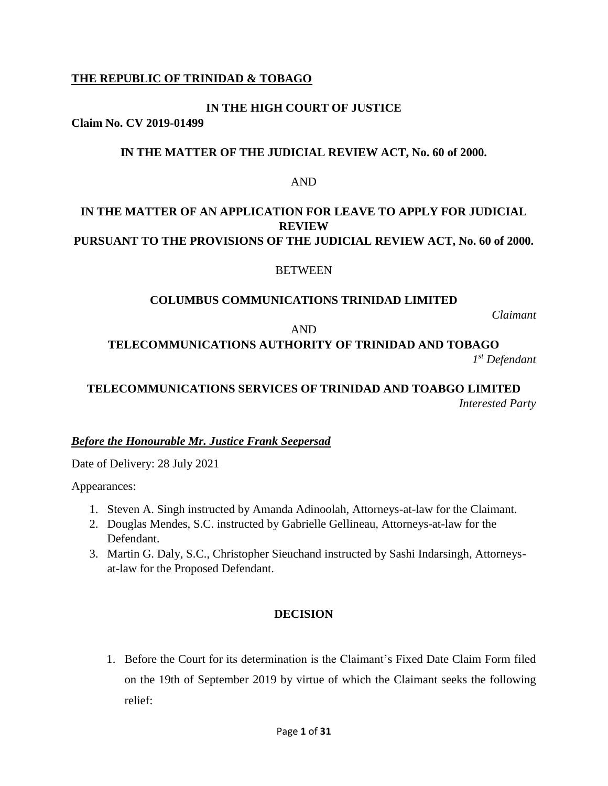# **THE REPUBLIC OF TRINIDAD & TOBAGO**

# **IN THE HIGH COURT OF JUSTICE**

**Claim No. CV 2019-01499**

# **IN THE MATTER OF THE JUDICIAL REVIEW ACT, No. 60 of 2000.**

#### AND

# **IN THE MATTER OF AN APPLICATION FOR LEAVE TO APPLY FOR JUDICIAL REVIEW PURSUANT TO THE PROVISIONS OF THE JUDICIAL REVIEW ACT, No. 60 of 2000.**

### **BETWEEN**

### **COLUMBUS COMMUNICATIONS TRINIDAD LIMITED**

*Claimant*

#### AND

# **TELECOMMUNICATIONS AUTHORITY OF TRINIDAD AND TOBAGO**

*1 st Defendant*

# **TELECOMMUNICATIONS SERVICES OF TRINIDAD AND TOABGO LIMITED** *Interested Party*

*Before the Honourable Mr. Justice Frank Seepersad*

Date of Delivery: 28 July 2021

Appearances:

- 1. Steven A. Singh instructed by Amanda Adinoolah, Attorneys-at-law for the Claimant.
- 2. Douglas Mendes, S.C. instructed by Gabrielle Gellineau, Attorneys-at-law for the Defendant.
- 3. Martin G. Daly, S.C., Christopher Sieuchand instructed by Sashi Indarsingh, Attorneysat-law for the Proposed Defendant.

# **DECISION**

1. Before the Court for its determination is the Claimant's Fixed Date Claim Form filed on the 19th of September 2019 by virtue of which the Claimant seeks the following relief: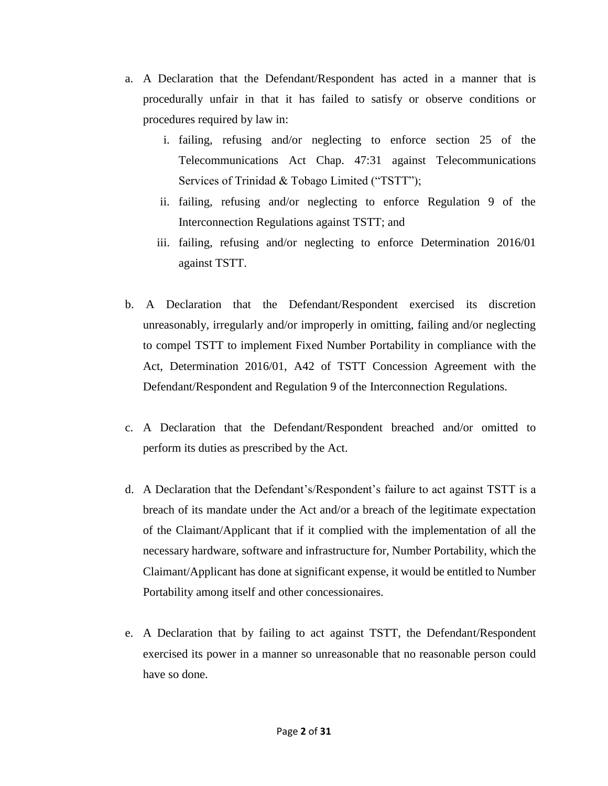- a. A Declaration that the Defendant/Respondent has acted in a manner that is procedurally unfair in that it has failed to satisfy or observe conditions or procedures required by law in:
	- i. failing, refusing and/or neglecting to enforce section 25 of the Telecommunications Act Chap. 47:31 against Telecommunications Services of Trinidad & Tobago Limited ("TSTT");
	- ii. failing, refusing and/or neglecting to enforce Regulation 9 of the Interconnection Regulations against TSTT; and
	- iii. failing, refusing and/or neglecting to enforce Determination 2016/01 against TSTT.
- b. A Declaration that the Defendant/Respondent exercised its discretion unreasonably, irregularly and/or improperly in omitting, failing and/or neglecting to compel TSTT to implement Fixed Number Portability in compliance with the Act, Determination 2016/01, A42 of TSTT Concession Agreement with the Defendant/Respondent and Regulation 9 of the Interconnection Regulations.
- c. A Declaration that the Defendant/Respondent breached and/or omitted to perform its duties as prescribed by the Act.
- d. A Declaration that the Defendant's/Respondent's failure to act against TSTT is a breach of its mandate under the Act and/or a breach of the legitimate expectation of the Claimant/Applicant that if it complied with the implementation of all the necessary hardware, software and infrastructure for, Number Portability, which the Claimant/Applicant has done at significant expense, it would be entitled to Number Portability among itself and other concessionaires.
- e. A Declaration that by failing to act against TSTT, the Defendant/Respondent exercised its power in a manner so unreasonable that no reasonable person could have so done.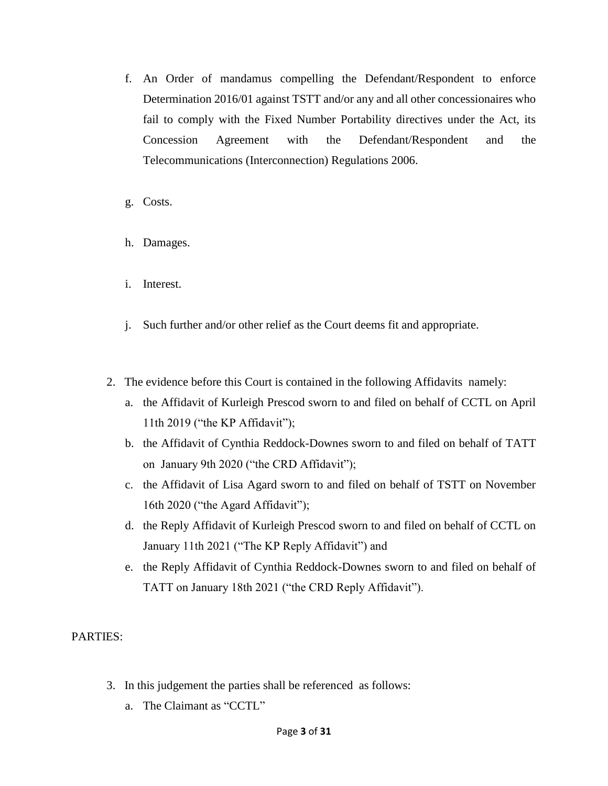- f. An Order of mandamus compelling the Defendant/Respondent to enforce Determination 2016/01 against TSTT and/or any and all other concessionaires who fail to comply with the Fixed Number Portability directives under the Act, its Concession Agreement with the Defendant/Respondent and the Telecommunications (Interconnection) Regulations 2006.
- g. Costs.
- h. Damages.
- i. Interest.
- j. Such further and/or other relief as the Court deems fit and appropriate.
- 2. The evidence before this Court is contained in the following Affidavits namely:
	- a. the Affidavit of Kurleigh Prescod sworn to and filed on behalf of CCTL on April 11th 2019 ("the KP Affidavit");
	- b. the Affidavit of Cynthia Reddock-Downes sworn to and filed on behalf of TATT on January 9th 2020 ("the CRD Affidavit");
	- c. the Affidavit of Lisa Agard sworn to and filed on behalf of TSTT on November 16th 2020 ("the Agard Affidavit");
	- d. the Reply Affidavit of Kurleigh Prescod sworn to and filed on behalf of CCTL on January 11th 2021 ("The KP Reply Affidavit") and
	- e. the Reply Affidavit of Cynthia Reddock-Downes sworn to and filed on behalf of TATT on January 18th 2021 ("the CRD Reply Affidavit").

PARTIES:

- 3. In this judgement the parties shall be referenced as follows:
	- a. The Claimant as "CCTL"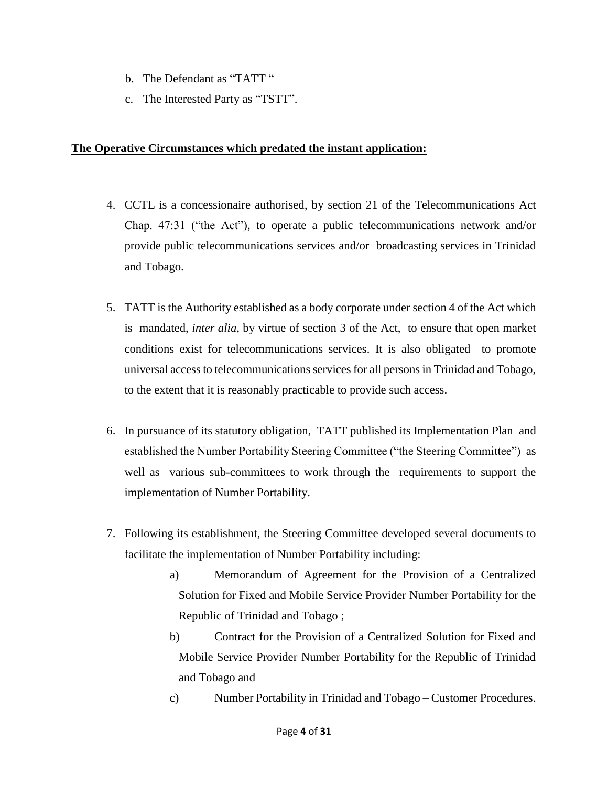- b. The Defendant as "TATT "
- c. The Interested Party as "TSTT".

### **The Operative Circumstances which predated the instant application:**

- 4. CCTL is a concessionaire authorised, by section 21 of the Telecommunications Act Chap. 47:31 ("the Act"), to operate a public telecommunications network and/or provide public telecommunications services and/or broadcasting services in Trinidad and Tobago.
- 5. TATT is the Authority established as a body corporate under section 4 of the Act which is mandated, *inter alia*, by virtue of section 3 of the Act, to ensure that open market conditions exist for telecommunications services. It is also obligated to promote universal access to telecommunications services for all persons in Trinidad and Tobago, to the extent that it is reasonably practicable to provide such access.
- 6. In pursuance of its statutory obligation, TATT published its Implementation Plan and established the Number Portability Steering Committee ("the Steering Committee") as well as various sub-committees to work through the requirements to support the implementation of Number Portability.
- 7. Following its establishment, the Steering Committee developed several documents to facilitate the implementation of Number Portability including:
	- a) Memorandum of Agreement for the Provision of a Centralized Solution for Fixed and Mobile Service Provider Number Portability for the Republic of Trinidad and Tobago ;
	- b) Contract for the Provision of a Centralized Solution for Fixed and Mobile Service Provider Number Portability for the Republic of Trinidad and Tobago and
	- c) Number Portability in Trinidad and Tobago Customer Procedures.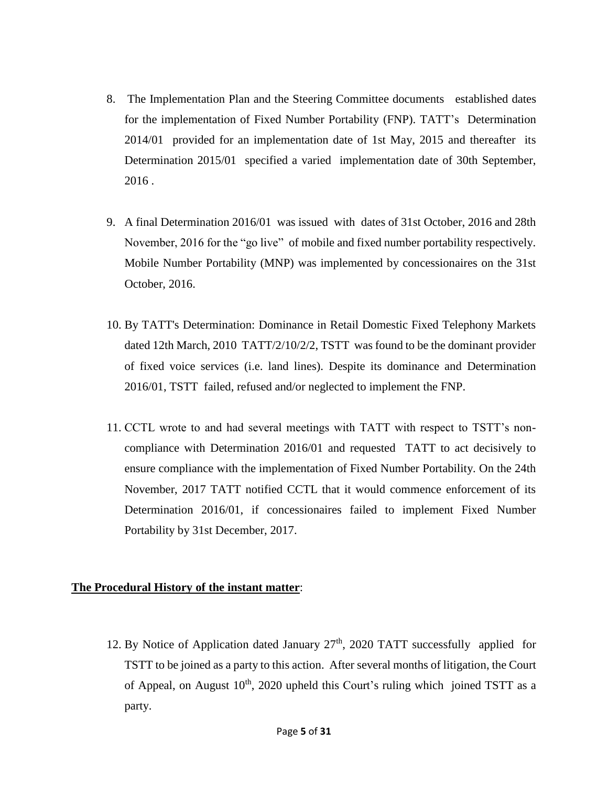- 8. The Implementation Plan and the Steering Committee documents established dates for the implementation of Fixed Number Portability (FNP). TATT's Determination 2014/01 provided for an implementation date of 1st May, 2015 and thereafter its Determination 2015/01 specified a varied implementation date of 30th September, 2016 .
- 9. A final Determination 2016/01 was issued with dates of 31st October, 2016 and 28th November, 2016 for the "go live" of mobile and fixed number portability respectively. Mobile Number Portability (MNP) was implemented by concessionaires on the 31st October, 2016.
- 10. By TATT's Determination: Dominance in Retail Domestic Fixed Telephony Markets dated 12th March, 2010 TATT/2/10/2/2, TSTT was found to be the dominant provider of fixed voice services (i.e. land lines). Despite its dominance and Determination 2016/01, TSTT failed, refused and/or neglected to implement the FNP.
- 11. CCTL wrote to and had several meetings with TATT with respect to TSTT's noncompliance with Determination 2016/01 and requested TATT to act decisively to ensure compliance with the implementation of Fixed Number Portability. On the 24th November, 2017 TATT notified CCTL that it would commence enforcement of its Determination 2016/01, if concessionaires failed to implement Fixed Number Portability by 31st December, 2017.

#### **The Procedural History of the instant matter**:

12. By Notice of Application dated January  $27<sup>th</sup>$ , 2020 TATT successfully applied for TSTT to be joined as a party to this action. After several months of litigation, the Court of Appeal, on August  $10<sup>th</sup>$ , 2020 upheld this Court's ruling which joined TSTT as a party.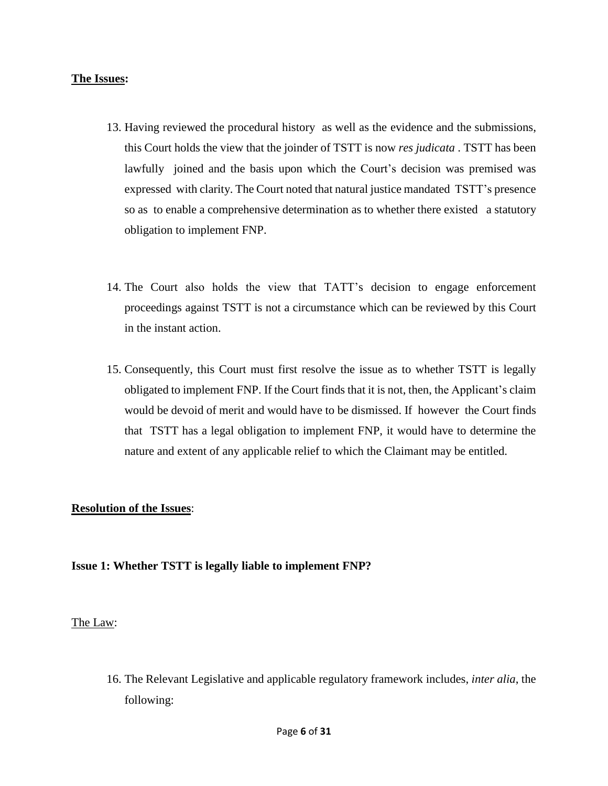#### **The Issues:**

- 13. Having reviewed the procedural history as well as the evidence and the submissions, this Court holds the view that the joinder of TSTT is now *res judicata* . TSTT has been lawfully joined and the basis upon which the Court's decision was premised was expressed with clarity. The Court noted that natural justice mandated TSTT's presence so as to enable a comprehensive determination as to whether there existed a statutory obligation to implement FNP.
- 14. The Court also holds the view that TATT's decision to engage enforcement proceedings against TSTT is not a circumstance which can be reviewed by this Court in the instant action.
- 15. Consequently, this Court must first resolve the issue as to whether TSTT is legally obligated to implement FNP. If the Court finds that it is not, then, the Applicant's claim would be devoid of merit and would have to be dismissed. If however the Court finds that TSTT has a legal obligation to implement FNP, it would have to determine the nature and extent of any applicable relief to which the Claimant may be entitled.

#### **Resolution of the Issues**:

# **Issue 1: Whether TSTT is legally liable to implement FNP?**

#### The Law:

16. The Relevant Legislative and applicable regulatory framework includes, *inter alia*, the following: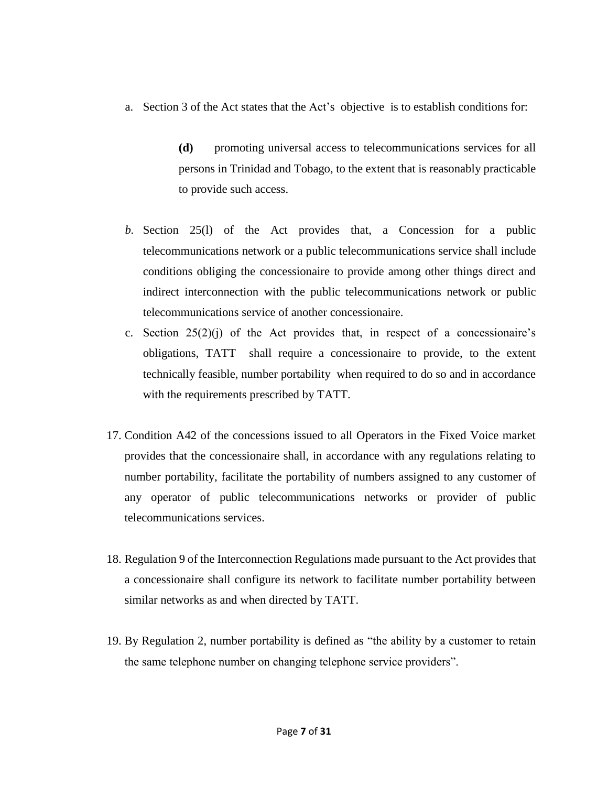a. Section 3 of the Act states that the Act's objective is to establish conditions for:

**(d)** promoting universal access to telecommunications services for all persons in Trinidad and Tobago, to the extent that is reasonably practicable to provide such access.

- *b.* Section 25(l) of the Act provides that, a Concession for a public telecommunications network or a public telecommunications service shall include conditions obliging the concessionaire to provide among other things direct and indirect interconnection with the public telecommunications network or public telecommunications service of another concessionaire.
- c. Section  $25(2)(i)$  of the Act provides that, in respect of a concessionaire's obligations, TATT shall require a concessionaire to provide, to the extent technically feasible, number portability when required to do so and in accordance with the requirements prescribed by TATT.
- 17. Condition A42 of the concessions issued to all Operators in the Fixed Voice market provides that the concessionaire shall, in accordance with any regulations relating to number portability, facilitate the portability of numbers assigned to any customer of any operator of public telecommunications networks or provider of public telecommunications services.
- 18. Regulation 9 of the Interconnection Regulations made pursuant to the Act provides that a concessionaire shall configure its network to facilitate number portability between similar networks as and when directed by TATT.
- 19. By Regulation 2, number portability is defined as "the ability by a customer to retain the same telephone number on changing telephone service providers".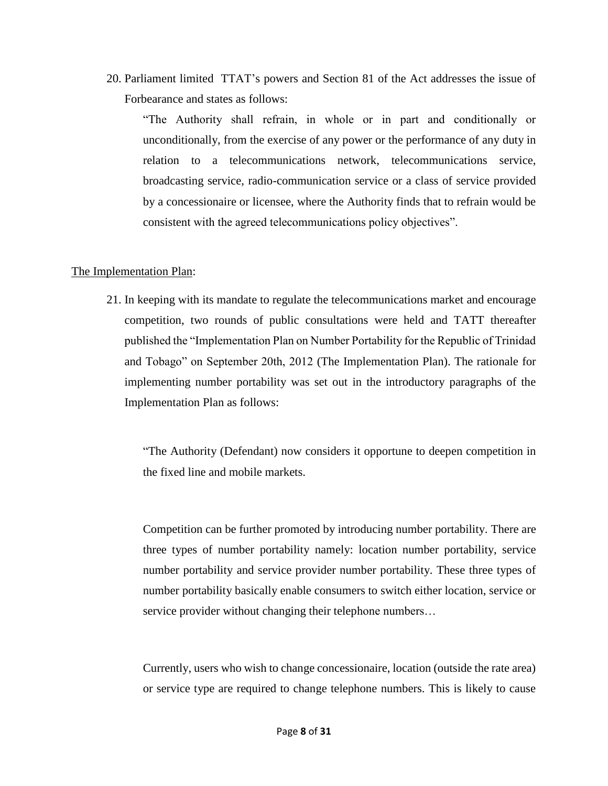20. Parliament limited TTAT's powers and Section 81 of the Act addresses the issue of Forbearance and states as follows:

"The Authority shall refrain, in whole or in part and conditionally or unconditionally, from the exercise of any power or the performance of any duty in relation to a telecommunications network, telecommunications service, broadcasting service, radio-communication service or a class of service provided by a concessionaire or licensee, where the Authority finds that to refrain would be consistent with the agreed telecommunications policy objectives".

#### The Implementation Plan:

21. In keeping with its mandate to regulate the telecommunications market and encourage competition, two rounds of public consultations were held and TATT thereafter published the "Implementation Plan on Number Portability for the Republic of Trinidad and Tobago" on September 20th, 2012 (The Implementation Plan). The rationale for implementing number portability was set out in the introductory paragraphs of the Implementation Plan as follows:

"The Authority (Defendant) now considers it opportune to deepen competition in the fixed line and mobile markets.

Competition can be further promoted by introducing number portability. There are three types of number portability namely: location number portability, service number portability and service provider number portability. These three types of number portability basically enable consumers to switch either location, service or service provider without changing their telephone numbers...

Currently, users who wish to change concessionaire, location (outside the rate area) or service type are required to change telephone numbers. This is likely to cause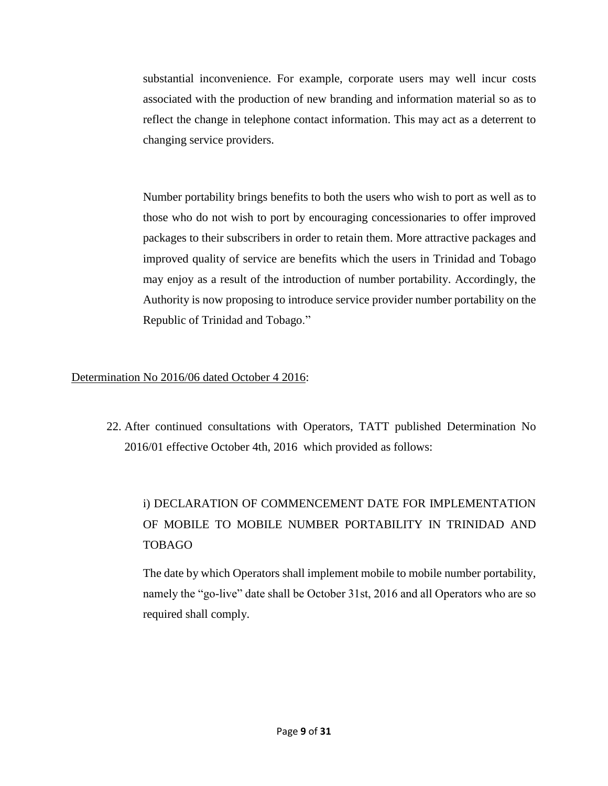substantial inconvenience. For example, corporate users may well incur costs associated with the production of new branding and information material so as to reflect the change in telephone contact information. This may act as a deterrent to changing service providers.

Number portability brings benefits to both the users who wish to port as well as to those who do not wish to port by encouraging concessionaries to offer improved packages to their subscribers in order to retain them. More attractive packages and improved quality of service are benefits which the users in Trinidad and Tobago may enjoy as a result of the introduction of number portability. Accordingly, the Authority is now proposing to introduce service provider number portability on the Republic of Trinidad and Tobago."

# Determination No 2016/06 dated October 4 2016:

22. After continued consultations with Operators, TATT published Determination No 2016/01 effective October 4th, 2016 which provided as follows:

# i) DECLARATION OF COMMENCEMENT DATE FOR IMPLEMENTATION OF MOBILE TO MOBILE NUMBER PORTABILITY IN TRINIDAD AND TOBAGO

The date by which Operators shall implement mobile to mobile number portability, namely the "go-live" date shall be October 31st, 2016 and all Operators who are so required shall comply.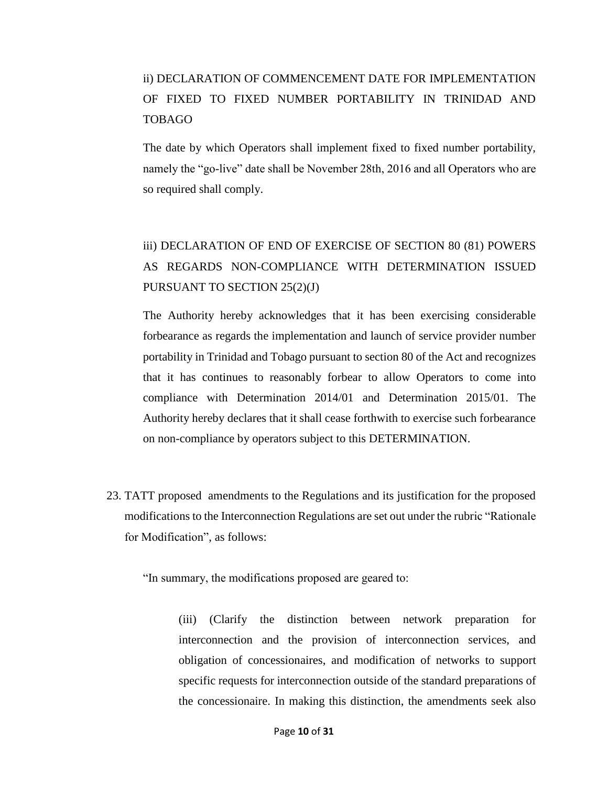# ii) DECLARATION OF COMMENCEMENT DATE FOR IMPLEMENTATION OF FIXED TO FIXED NUMBER PORTABILITY IN TRINIDAD AND TOBAGO

The date by which Operators shall implement fixed to fixed number portability, namely the "go-live" date shall be November 28th, 2016 and all Operators who are so required shall comply.

# iii) DECLARATION OF END OF EXERCISE OF SECTION 80 (81) POWERS AS REGARDS NON-COMPLIANCE WITH DETERMINATION ISSUED PURSUANT TO SECTION 25(2)(J)

The Authority hereby acknowledges that it has been exercising considerable forbearance as regards the implementation and launch of service provider number portability in Trinidad and Tobago pursuant to section 80 of the Act and recognizes that it has continues to reasonably forbear to allow Operators to come into compliance with Determination 2014/01 and Determination 2015/01. The Authority hereby declares that it shall cease forthwith to exercise such forbearance on non-compliance by operators subject to this DETERMINATION.

23. TATT proposed amendments to the Regulations and its justification for the proposed modifications to the Interconnection Regulations are set out under the rubric "Rationale for Modification", as follows:

"In summary, the modifications proposed are geared to:

(iii) (Clarify the distinction between network preparation for interconnection and the provision of interconnection services, and obligation of concessionaires, and modification of networks to support specific requests for interconnection outside of the standard preparations of the concessionaire. In making this distinction, the amendments seek also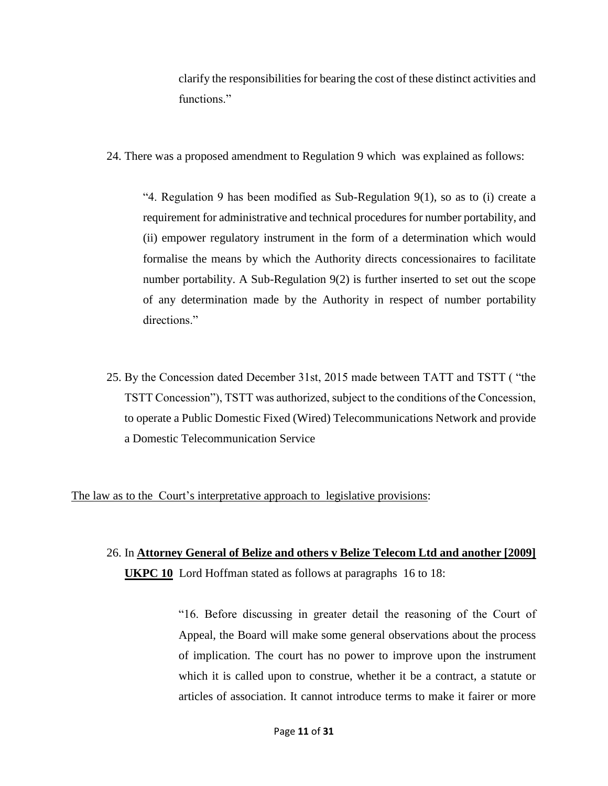clarify the responsibilities for bearing the cost of these distinct activities and functions."

24. There was a proposed amendment to Regulation 9 which was explained as follows:

"4. Regulation 9 has been modified as Sub-Regulation 9(1), so as to (i) create a requirement for administrative and technical procedures for number portability, and (ii) empower regulatory instrument in the form of a determination which would formalise the means by which the Authority directs concessionaires to facilitate number portability. A Sub-Regulation 9(2) is further inserted to set out the scope of any determination made by the Authority in respect of number portability directions."

25. By the Concession dated December 31st, 2015 made between TATT and TSTT ( "the TSTT Concession"), TSTT was authorized, subject to the conditions of the Concession, to operate a Public Domestic Fixed (Wired) Telecommunications Network and provide a Domestic Telecommunication Service

The law as to the Court's interpretative approach to legislative provisions:

# 26. In **Attorney General of Belize and others v Belize Telecom Ltd and another [2009] UKPC 10** Lord Hoffman stated as follows at paragraphs 16 to 18:

"16. Before discussing in greater detail the reasoning of the Court of Appeal, the Board will make some general observations about the process of implication. The court has no power to improve upon the instrument which it is called upon to construe, whether it be a contract, a statute or articles of association. It cannot introduce terms to make it fairer or more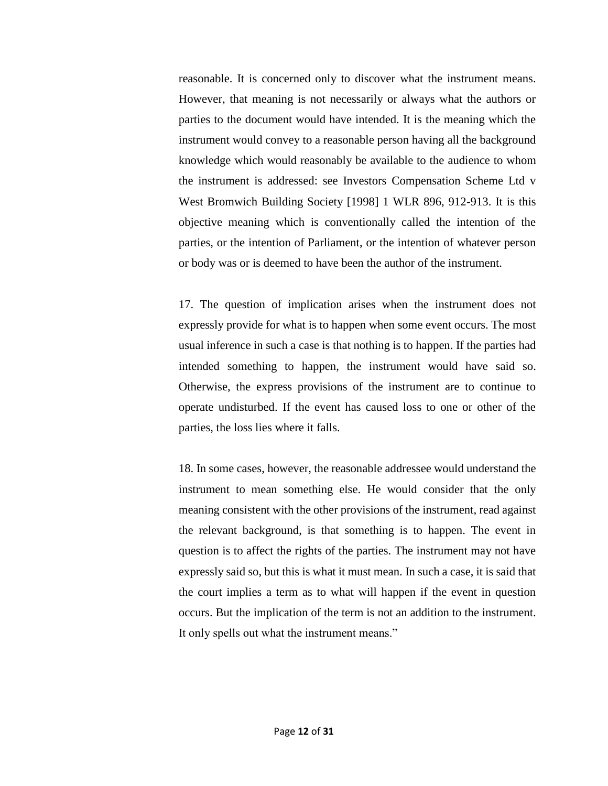reasonable. It is concerned only to discover what the instrument means. However, that meaning is not necessarily or always what the authors or parties to the document would have intended. It is the meaning which the instrument would convey to a reasonable person having all the background knowledge which would reasonably be available to the audience to whom the instrument is addressed: see Investors Compensation Scheme Ltd v West Bromwich Building Society [1998] 1 WLR 896, 912-913. It is this objective meaning which is conventionally called the intention of the parties, or the intention of Parliament, or the intention of whatever person or body was or is deemed to have been the author of the instrument.

17. The question of implication arises when the instrument does not expressly provide for what is to happen when some event occurs. The most usual inference in such a case is that nothing is to happen. If the parties had intended something to happen, the instrument would have said so. Otherwise, the express provisions of the instrument are to continue to operate undisturbed. If the event has caused loss to one or other of the parties, the loss lies where it falls.

18. In some cases, however, the reasonable addressee would understand the instrument to mean something else. He would consider that the only meaning consistent with the other provisions of the instrument, read against the relevant background, is that something is to happen. The event in question is to affect the rights of the parties. The instrument may not have expressly said so, but this is what it must mean. In such a case, it is said that the court implies a term as to what will happen if the event in question occurs. But the implication of the term is not an addition to the instrument. It only spells out what the instrument means."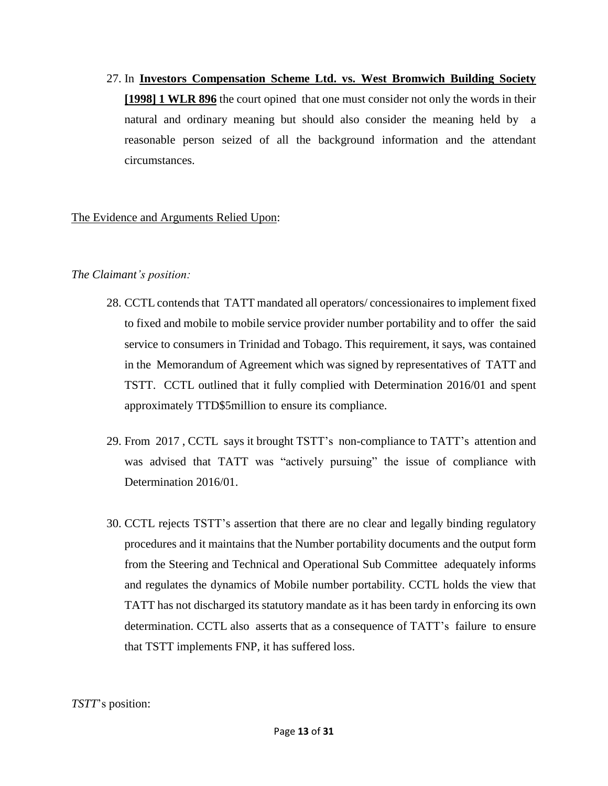27. In **Investors Compensation Scheme Ltd. vs. West Bromwich Building Society [1998] 1 WLR 896** the court opined that one must consider not only the words in their natural and ordinary meaning but should also consider the meaning held by a reasonable person seized of all the background information and the attendant circumstances.

### The Evidence and Arguments Relied Upon:

#### *The Claimant's position:*

- 28. CCTL contends that TATT mandated all operators/ concessionaires to implement fixed to fixed and mobile to mobile service provider number portability and to offer the said service to consumers in Trinidad and Tobago. This requirement, it says, was contained in the Memorandum of Agreement which was signed by representatives of TATT and TSTT. CCTL outlined that it fully complied with Determination 2016/01 and spent approximately TTD\$5million to ensure its compliance.
- 29. From 2017 , CCTL says it brought TSTT's non-compliance to TATT's attention and was advised that TATT was "actively pursuing" the issue of compliance with Determination 2016/01.
- 30. CCTL rejects TSTT's assertion that there are no clear and legally binding regulatory procedures and it maintains that the Number portability documents and the output form from the Steering and Technical and Operational Sub Committee adequately informs and regulates the dynamics of Mobile number portability. CCTL holds the view that TATT has not discharged its statutory mandate as it has been tardy in enforcing its own determination. CCTL also asserts that as a consequence of TATT's failure to ensure that TSTT implements FNP, it has suffered loss.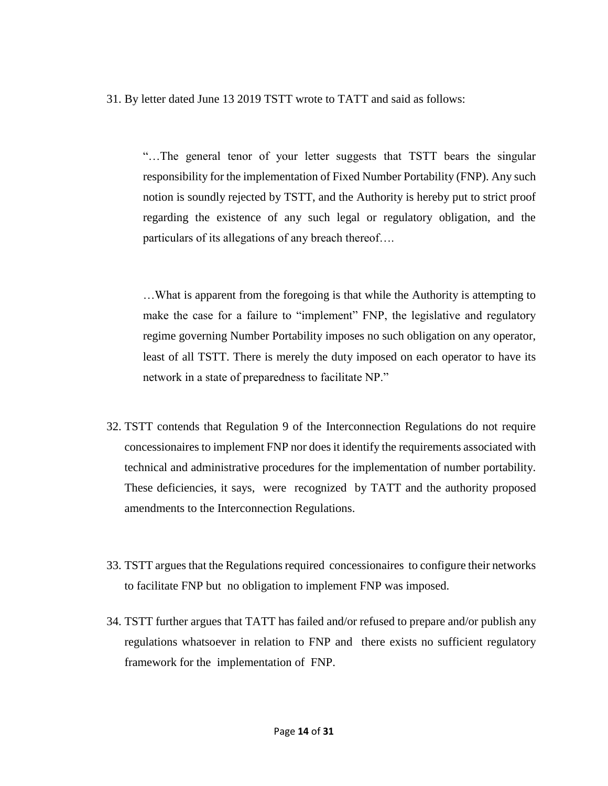31. By letter dated June 13 2019 TSTT wrote to TATT and said as follows:

"…The general tenor of your letter suggests that TSTT bears the singular responsibility for the implementation of Fixed Number Portability (FNP). Any such notion is soundly rejected by TSTT, and the Authority is hereby put to strict proof regarding the existence of any such legal or regulatory obligation, and the particulars of its allegations of any breach thereof….

…What is apparent from the foregoing is that while the Authority is attempting to make the case for a failure to "implement" FNP, the legislative and regulatory regime governing Number Portability imposes no such obligation on any operator, least of all TSTT. There is merely the duty imposed on each operator to have its network in a state of preparedness to facilitate NP."

- 32. TSTT contends that Regulation 9 of the Interconnection Regulations do not require concessionaires to implement FNP nor does it identify the requirements associated with technical and administrative procedures for the implementation of number portability. These deficiencies, it says, were recognized by TATT and the authority proposed amendments to the Interconnection Regulations.
- 33. TSTT argues that the Regulations required concessionaires to configure their networks to facilitate FNP but no obligation to implement FNP was imposed.
- 34. TSTT further argues that TATT has failed and/or refused to prepare and/or publish any regulations whatsoever in relation to FNP and there exists no sufficient regulatory framework for the implementation of FNP.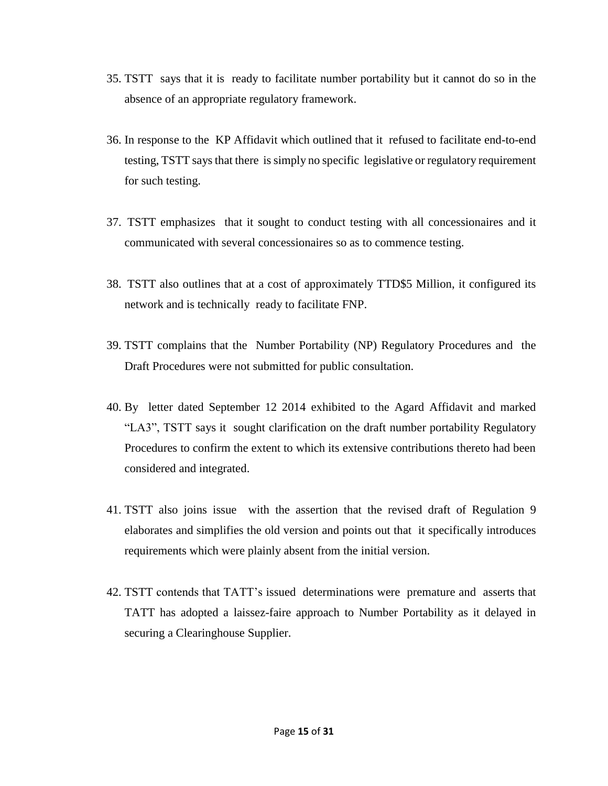- 35. TSTT says that it is ready to facilitate number portability but it cannot do so in the absence of an appropriate regulatory framework.
- 36. In response to the KP Affidavit which outlined that it refused to facilitate end-to-end testing, TSTT says that there is simply no specific legislative or regulatory requirement for such testing.
- 37. TSTT emphasizes that it sought to conduct testing with all concessionaires and it communicated with several concessionaires so as to commence testing.
- 38. TSTT also outlines that at a cost of approximately TTD\$5 Million, it configured its network and is technically ready to facilitate FNP.
- 39. TSTT complains that the Number Portability (NP) Regulatory Procedures and the Draft Procedures were not submitted for public consultation.
- 40. By letter dated September 12 2014 exhibited to the Agard Affidavit and marked "LA3", TSTT says it sought clarification on the draft number portability Regulatory Procedures to confirm the extent to which its extensive contributions thereto had been considered and integrated.
- 41. TSTT also joins issue with the assertion that the revised draft of Regulation 9 elaborates and simplifies the old version and points out that it specifically introduces requirements which were plainly absent from the initial version.
- 42. TSTT contends that TATT's issued determinations were premature and asserts that TATT has adopted a laissez-faire approach to Number Portability as it delayed in securing a Clearinghouse Supplier.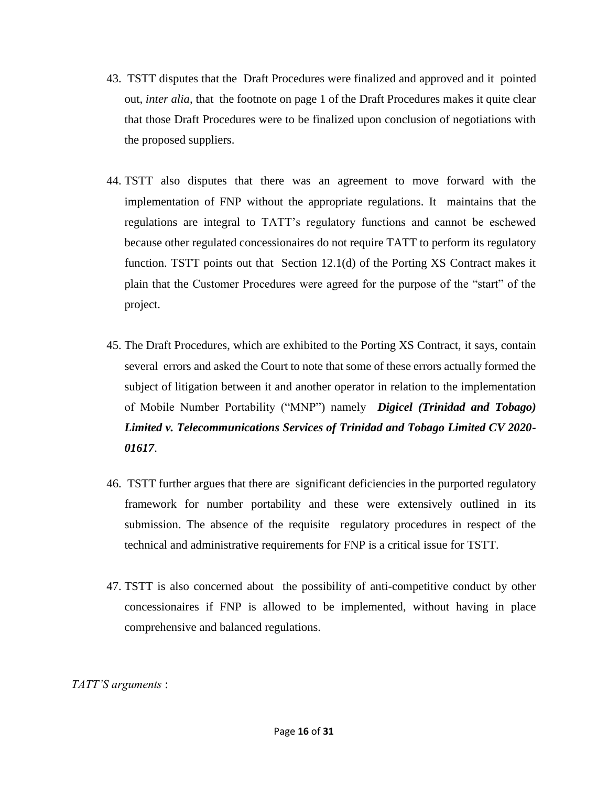- 43. TSTT disputes that the Draft Procedures were finalized and approved and it pointed out, *inter alia*, that the footnote on page 1 of the Draft Procedures makes it quite clear that those Draft Procedures were to be finalized upon conclusion of negotiations with the proposed suppliers.
- 44. TSTT also disputes that there was an agreement to move forward with the implementation of FNP without the appropriate regulations. It maintains that the regulations are integral to TATT's regulatory functions and cannot be eschewed because other regulated concessionaires do not require TATT to perform its regulatory function. TSTT points out that Section 12.1(d) of the Porting XS Contract makes it plain that the Customer Procedures were agreed for the purpose of the "start" of the project.
- 45. The Draft Procedures, which are exhibited to the Porting XS Contract, it says, contain several errors and asked the Court to note that some of these errors actually formed the subject of litigation between it and another operator in relation to the implementation of Mobile Number Portability ("MNP") namely *Digicel (Trinidad and Tobago) Limited v. Telecommunications Services of Trinidad and Tobago Limited CV 2020- 01617*.
- 46. TSTT further argues that there are significant deficiencies in the purported regulatory framework for number portability and these were extensively outlined in its submission. The absence of the requisite regulatory procedures in respect of the technical and administrative requirements for FNP is a critical issue for TSTT.
- 47. TSTT is also concerned about the possibility of anti-competitive conduct by other concessionaires if FNP is allowed to be implemented, without having in place comprehensive and balanced regulations.

*TATT'S arguments* :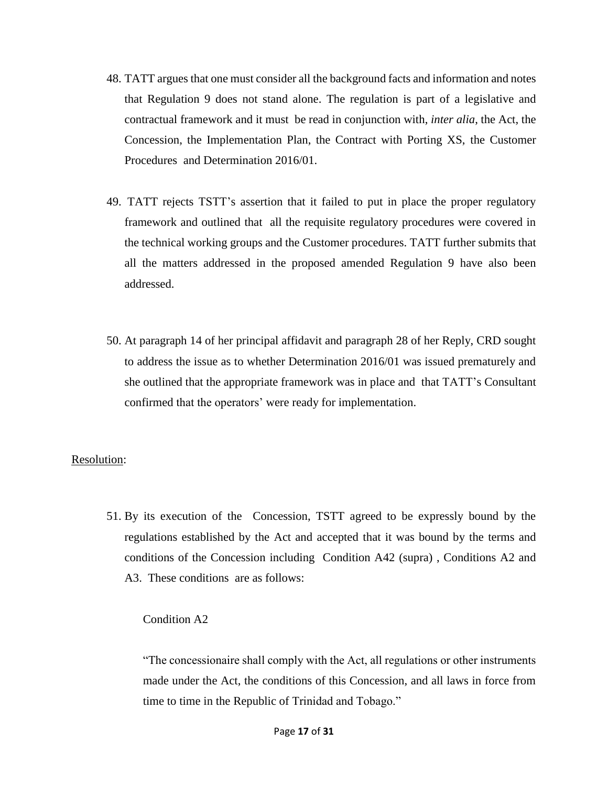- 48. TATT argues that one must consider all the background facts and information and notes that Regulation 9 does not stand alone. The regulation is part of a legislative and contractual framework and it must be read in conjunction with, *inter alia*, the Act, the Concession, the Implementation Plan, the Contract with Porting XS, the Customer Procedures and Determination 2016/01.
- 49. TATT rejects TSTT's assertion that it failed to put in place the proper regulatory framework and outlined that all the requisite regulatory procedures were covered in the technical working groups and the Customer procedures. TATT further submits that all the matters addressed in the proposed amended Regulation 9 have also been addressed.
- 50. At paragraph 14 of her principal affidavit and paragraph 28 of her Reply, CRD sought to address the issue as to whether Determination 2016/01 was issued prematurely and she outlined that the appropriate framework was in place and that TATT's Consultant confirmed that the operators' were ready for implementation.

#### Resolution:

51. By its execution of the Concession, TSTT agreed to be expressly bound by the regulations established by the Act and accepted that it was bound by the terms and conditions of the Concession including Condition A42 (supra) , Conditions A2 and A3. These conditions are as follows:

#### Condition A2

"The concessionaire shall comply with the Act, all regulations or other instruments made under the Act, the conditions of this Concession, and all laws in force from time to time in the Republic of Trinidad and Tobago."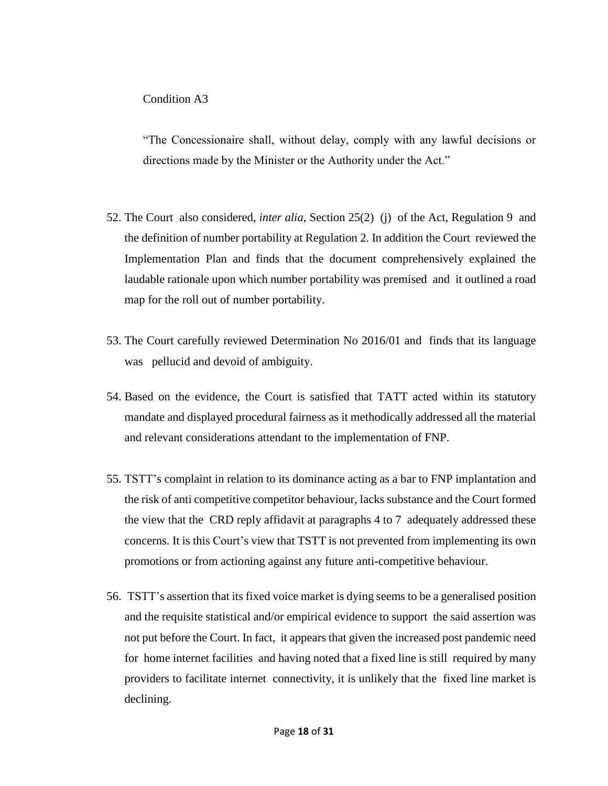"The Concessionaire shall, without delay, comply with any lawful decisions or directions made by the Minister or the Authority under the Act."

- 52. The Court also considered, *inter alia*, Section 25(2) (j) of the Act, Regulation 9 and the definition of number portability at Regulation 2. In addition the Court reviewed the Implementation Plan and finds that the document comprehensively explained the laudable rationale upon which number portability was premised and it outlined a road map for the roll out of number portability.
- 53. The Court carefully reviewed Determination No 2016/01 and finds that its language was pellucid and devoid of ambiguity.
- 54. Based on the evidence, the Court is satisfied that TATT acted within its statutory mandate and displayed procedural fairness as it methodically addressed all the material and relevant considerations attendant to the implementation of FNP.
- 55. TSTT's complaint in relation to its dominance acting as a bar to FNP implantation and the risk of anti competitive competitor behaviour, lacks substance and the Court formed the view that the CRD reply affidavit at paragraphs 4 to 7 adequately addressed these concerns. It is this Court's view that TSTT is not prevented from implementing its own promotions or from actioning against any future anti-competitive behaviour.
- 56. TSTT's assertion that its fixed voice market is dying seems to be a generalised position and the requisite statistical and/or empirical evidence to support the said assertion was not put before the Court. In fact, it appears that given the increased post pandemic need for home internet facilities and having noted that a fixed line is still required by many providers to facilitate internet connectivity, it is unlikely that the fixed line market is declining.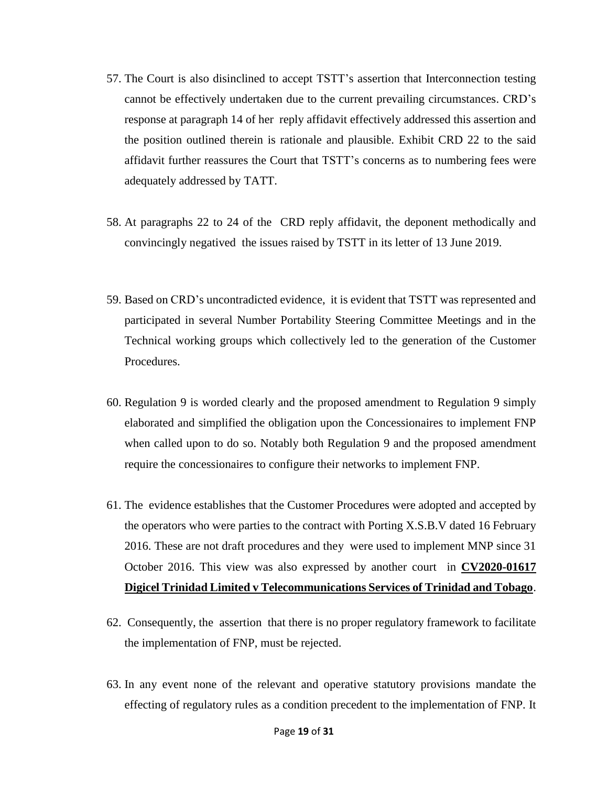- 57. The Court is also disinclined to accept TSTT's assertion that Interconnection testing cannot be effectively undertaken due to the current prevailing circumstances. CRD's response at paragraph 14 of her reply affidavit effectively addressed this assertion and the position outlined therein is rationale and plausible. Exhibit CRD 22 to the said affidavit further reassures the Court that TSTT's concerns as to numbering fees were adequately addressed by TATT.
- 58. At paragraphs 22 to 24 of the CRD reply affidavit, the deponent methodically and convincingly negatived the issues raised by TSTT in its letter of 13 June 2019.
- 59. Based on CRD's uncontradicted evidence, it is evident that TSTT was represented and participated in several Number Portability Steering Committee Meetings and in the Technical working groups which collectively led to the generation of the Customer Procedures.
- 60. Regulation 9 is worded clearly and the proposed amendment to Regulation 9 simply elaborated and simplified the obligation upon the Concessionaires to implement FNP when called upon to do so. Notably both Regulation 9 and the proposed amendment require the concessionaires to configure their networks to implement FNP.
- 61. The evidence establishes that the Customer Procedures were adopted and accepted by the operators who were parties to the contract with Porting X.S.B.V dated 16 February 2016. These are not draft procedures and they were used to implement MNP since 31 October 2016. This view was also expressed by another court in **CV2020-01617 Digicel Trinidad Limited v Telecommunications Services of Trinidad and Tobago**.
- 62. Consequently, the assertion that there is no proper regulatory framework to facilitate the implementation of FNP, must be rejected.
- 63. In any event none of the relevant and operative statutory provisions mandate the effecting of regulatory rules as a condition precedent to the implementation of FNP. It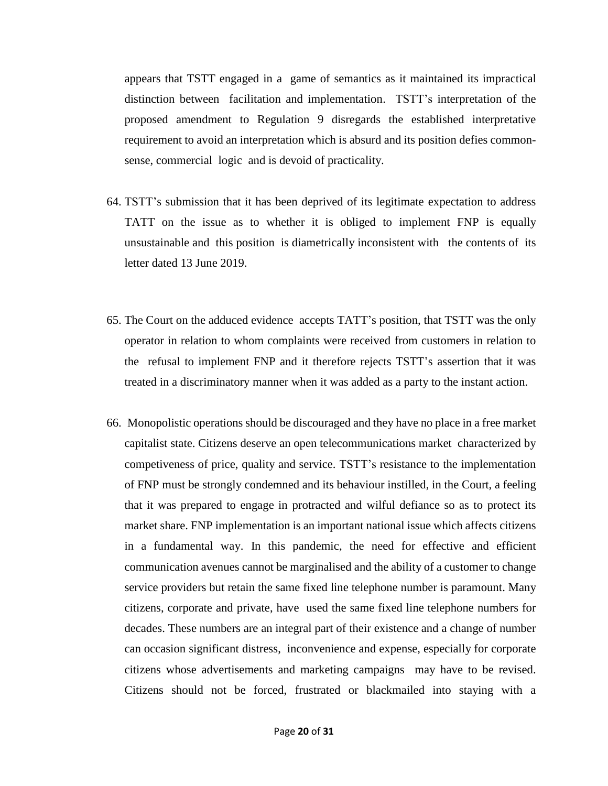appears that TSTT engaged in a game of semantics as it maintained its impractical distinction between facilitation and implementation. TSTT's interpretation of the proposed amendment to Regulation 9 disregards the established interpretative requirement to avoid an interpretation which is absurd and its position defies commonsense, commercial logic and is devoid of practicality.

- 64. TSTT's submission that it has been deprived of its legitimate expectation to address TATT on the issue as to whether it is obliged to implement FNP is equally unsustainable and this position is diametrically inconsistent with the contents of its letter dated 13 June 2019.
- 65. The Court on the adduced evidence accepts TATT's position, that TSTT was the only operator in relation to whom complaints were received from customers in relation to the refusal to implement FNP and it therefore rejects TSTT's assertion that it was treated in a discriminatory manner when it was added as a party to the instant action.
- 66. Monopolistic operations should be discouraged and they have no place in a free market capitalist state. Citizens deserve an open telecommunications market characterized by competiveness of price, quality and service. TSTT's resistance to the implementation of FNP must be strongly condemned and its behaviour instilled, in the Court, a feeling that it was prepared to engage in protracted and wilful defiance so as to protect its market share. FNP implementation is an important national issue which affects citizens in a fundamental way. In this pandemic, the need for effective and efficient communication avenues cannot be marginalised and the ability of a customer to change service providers but retain the same fixed line telephone number is paramount. Many citizens, corporate and private, have used the same fixed line telephone numbers for decades. These numbers are an integral part of their existence and a change of number can occasion significant distress, inconvenience and expense, especially for corporate citizens whose advertisements and marketing campaigns may have to be revised. Citizens should not be forced, frustrated or blackmailed into staying with a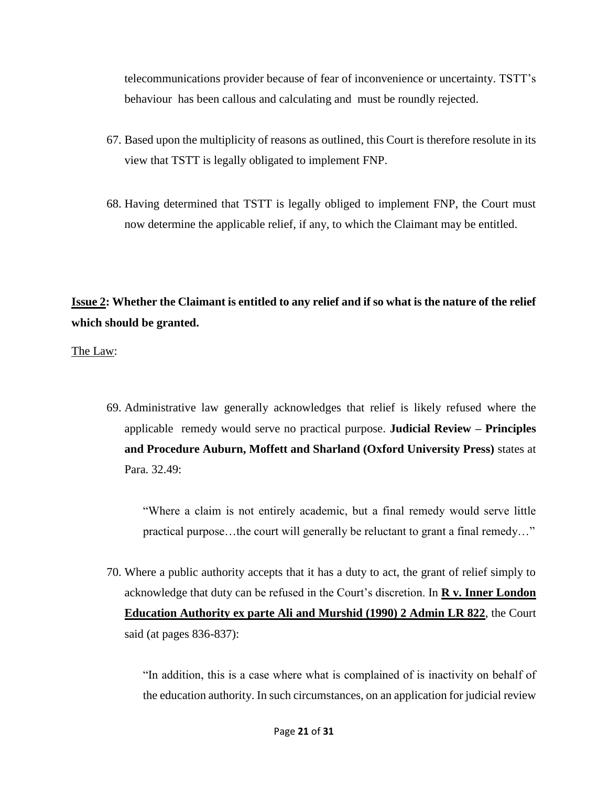telecommunications provider because of fear of inconvenience or uncertainty. TSTT's behaviour has been callous and calculating and must be roundly rejected.

- 67. Based upon the multiplicity of reasons as outlined, this Court is therefore resolute in its view that TSTT is legally obligated to implement FNP.
- 68. Having determined that TSTT is legally obliged to implement FNP, the Court must now determine the applicable relief, if any, to which the Claimant may be entitled.

**Issue 2: Whether the Claimant is entitled to any relief and if so what is the nature of the relief which should be granted.** 

The Law:

69. Administrative law generally acknowledges that relief is likely refused where the applicable remedy would serve no practical purpose. **Judicial Review – Principles and Procedure Auburn, Moffett and Sharland (Oxford University Press)** states at Para. 32.49:

"Where a claim is not entirely academic, but a final remedy would serve little practical purpose…the court will generally be reluctant to grant a final remedy…"

70. Where a public authority accepts that it has a duty to act, the grant of relief simply to acknowledge that duty can be refused in the Court's discretion. In **R v. Inner London Education Authority ex parte Ali and Murshid (1990) 2 Admin LR 822**, the Court said (at pages 836-837):

"In addition, this is a case where what is complained of is inactivity on behalf of the education authority. In such circumstances, on an application for judicial review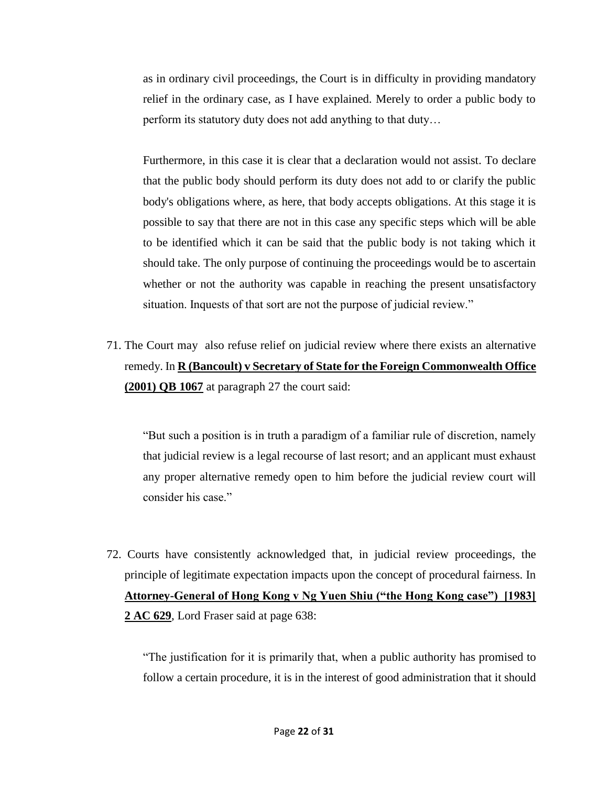as in ordinary civil proceedings, the Court is in difficulty in providing mandatory relief in the ordinary case, as I have explained. Merely to order a public body to perform its statutory duty does not add anything to that duty…

Furthermore, in this case it is clear that a declaration would not assist. To declare that the public body should perform its duty does not add to or clarify the public body's obligations where, as here, that body accepts obligations. At this stage it is possible to say that there are not in this case any specific steps which will be able to be identified which it can be said that the public body is not taking which it should take. The only purpose of continuing the proceedings would be to ascertain whether or not the authority was capable in reaching the present unsatisfactory situation. Inquests of that sort are not the purpose of judicial review."

71. The Court may also refuse relief on judicial review where there exists an alternative remedy. In **R (Bancoult) v Secretary of State for the Foreign Commonwealth Office (2001) QB 1067** at paragraph 27 the court said:

"But such a position is in truth a paradigm of a familiar rule of discretion, namely that judicial review is a legal recourse of last resort; and an applicant must exhaust any proper alternative remedy open to him before the judicial review court will consider his case."

72. Courts have consistently acknowledged that, in judicial review proceedings, the principle of legitimate expectation impacts upon the concept of procedural fairness. In **Attorney-General of Hong Kong v Ng Yuen Shiu ("the Hong Kong case") [1983] 2 AC 629**, Lord Fraser said at page 638:

"The justification for it is primarily that, when a public authority has promised to follow a certain procedure, it is in the interest of good administration that it should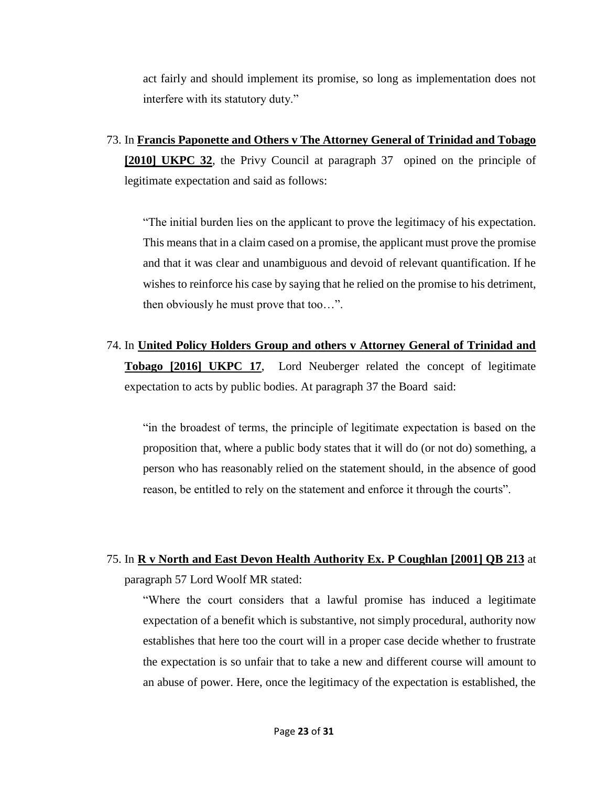act fairly and should implement its promise, so long as implementation does not interfere with its statutory duty."

73. In **Francis Paponette and Others v The Attorney General of Trinidad and Tobago [2010] UKPC 32**, the Privy Council at paragraph 37 opined on the principle of legitimate expectation and said as follows:

"The initial burden lies on the applicant to prove the legitimacy of his expectation. This means that in a claim cased on a promise, the applicant must prove the promise and that it was clear and unambiguous and devoid of relevant quantification. If he wishes to reinforce his case by saying that he relied on the promise to his detriment, then obviously he must prove that too…".

74. In **United Policy Holders Group and others v Attorney General of Trinidad and Tobago [2016] UKPC 17**, Lord Neuberger related the concept of legitimate expectation to acts by public bodies. At paragraph 37 the Board said:

"in the broadest of terms, the principle of legitimate expectation is based on the proposition that, where a public body states that it will do (or not do) something, a person who has reasonably relied on the statement should, in the absence of good reason, be entitled to rely on the statement and enforce it through the courts".

# 75. In **R v North and East Devon Health Authority Ex. P Coughlan [2001] QB 213** at paragraph 57 Lord Woolf MR stated:

"Where the court considers that a lawful promise has induced a legitimate expectation of a benefit which is substantive, not simply procedural, authority now establishes that here too the court will in a proper case decide whether to frustrate the expectation is so unfair that to take a new and different course will amount to an abuse of power. Here, once the legitimacy of the expectation is established, the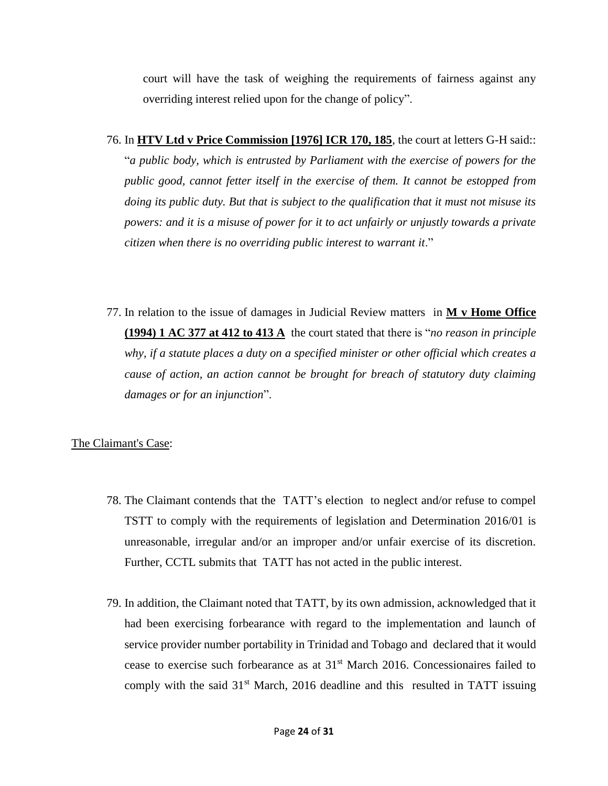court will have the task of weighing the requirements of fairness against any overriding interest relied upon for the change of policy".

- 76. In **HTV Ltd v Price Commission [1976] ICR 170, 185**, the court at letters G-H said:: "*a public body, which is entrusted by Parliament with the exercise of powers for the public good, cannot fetter itself in the exercise of them. It cannot be estopped from doing its public duty. But that is subject to the qualification that it must not misuse its powers: and it is a misuse of power for it to act unfairly or unjustly towards a private citizen when there is no overriding public interest to warrant it*."
- 77. In relation to the issue of damages in Judicial Review matters in **M v Home Office (1994) 1 AC 377 at 412 to 413 A** the court stated that there is "*no reason in principle why, if a statute places a duty on a specified minister or other official which creates a cause of action, an action cannot be brought for breach of statutory duty claiming damages or for an injunction*".

#### The Claimant's Case:

- 78. The Claimant contends that the TATT's election to neglect and/or refuse to compel TSTT to comply with the requirements of legislation and Determination 2016/01 is unreasonable, irregular and/or an improper and/or unfair exercise of its discretion. Further, CCTL submits that TATT has not acted in the public interest.
- 79. In addition, the Claimant noted that TATT, by its own admission, acknowledged that it had been exercising forbearance with regard to the implementation and launch of service provider number portability in Trinidad and Tobago and declared that it would cease to exercise such forbearance as at 31st March 2016. Concessionaires failed to comply with the said  $31<sup>st</sup>$  March, 2016 deadline and this resulted in TATT issuing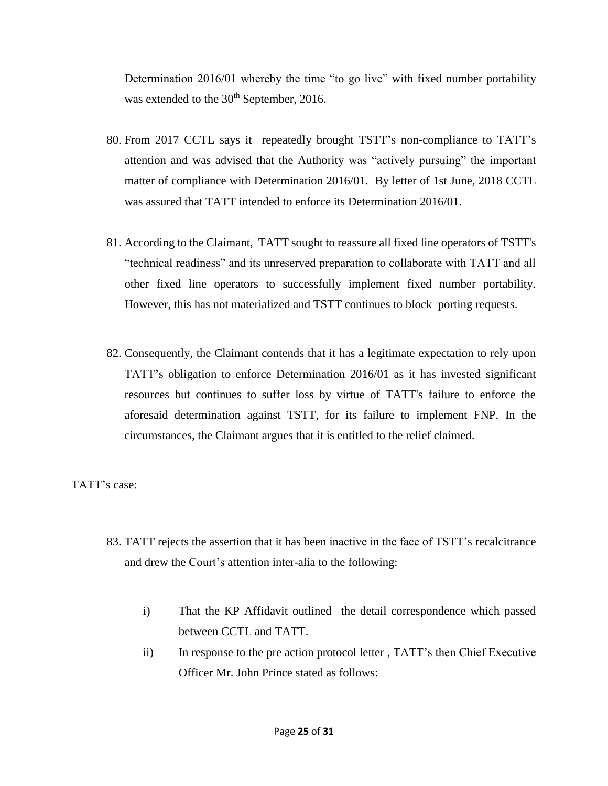Determination 2016/01 whereby the time "to go live" with fixed number portability was extended to the 30<sup>th</sup> September, 2016.

- 80. From 2017 CCTL says it repeatedly brought TSTT's non-compliance to TATT's attention and was advised that the Authority was "actively pursuing" the important matter of compliance with Determination 2016/01. By letter of 1st June, 2018 CCTL was assured that TATT intended to enforce its Determination 2016/01.
- 81. According to the Claimant, TATT sought to reassure all fixed line operators of TSTT's "technical readiness" and its unreserved preparation to collaborate with TATT and all other fixed line operators to successfully implement fixed number portability. However, this has not materialized and TSTT continues to block porting requests.
- 82. Consequently, the Claimant contends that it has a legitimate expectation to rely upon TATT's obligation to enforce Determination 2016/01 as it has invested significant resources but continues to suffer loss by virtue of TATT's failure to enforce the aforesaid determination against TSTT, for its failure to implement FNP. In the circumstances, the Claimant argues that it is entitled to the relief claimed.

# TATT's case:

- 83. TATT rejects the assertion that it has been inactive in the face of TSTT's recalcitrance and drew the Court's attention inter-alia to the following:
	- i) That the KP Affidavit outlined the detail correspondence which passed between CCTL and TATT.
	- ii) In response to the pre action protocol letter , TATT's then Chief Executive Officer Mr. John Prince stated as follows: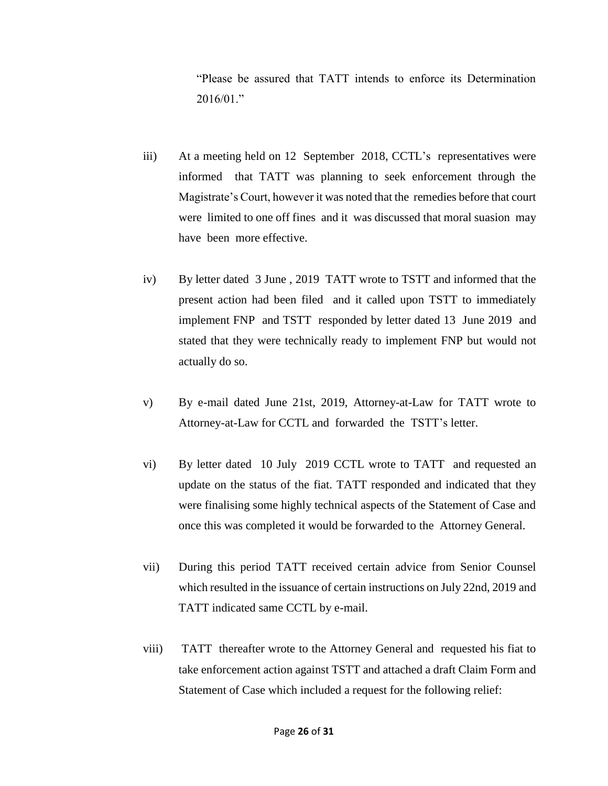"Please be assured that TATT intends to enforce its Determination 2016/01."

- iii) At a meeting held on 12 September 2018, CCTL's representatives were informed that TATT was planning to seek enforcement through the Magistrate's Court, however it was noted that the remedies before that court were limited to one off fines and it was discussed that moral suasion may have been more effective.
- iv) By letter dated 3 June , 2019 TATT wrote to TSTT and informed that the present action had been filed and it called upon TSTT to immediately implement FNP and TSTT responded by letter dated 13 June 2019 and stated that they were technically ready to implement FNP but would not actually do so.
- v) By e-mail dated June 21st, 2019, Attorney-at-Law for TATT wrote to Attorney-at-Law for CCTL and forwarded the TSTT's letter.
- vi) By letter dated 10 July 2019 CCTL wrote to TATT and requested an update on the status of the fiat. TATT responded and indicated that they were finalising some highly technical aspects of the Statement of Case and once this was completed it would be forwarded to the Attorney General.
- vii) During this period TATT received certain advice from Senior Counsel which resulted in the issuance of certain instructions on July 22nd, 2019 and TATT indicated same CCTL by e-mail.
- viii) TATT thereafter wrote to the Attorney General and requested his fiat to take enforcement action against TSTT and attached a draft Claim Form and Statement of Case which included a request for the following relief: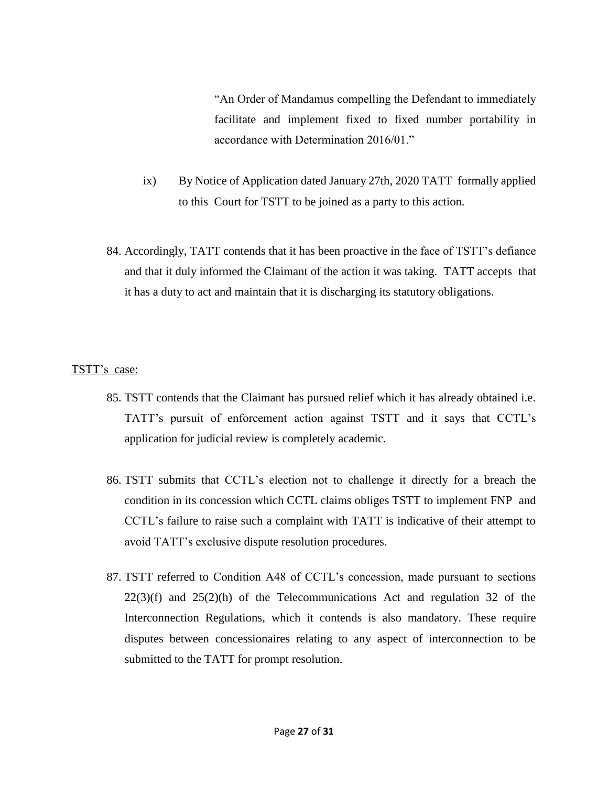"An Order of Mandamus compelling the Defendant to immediately facilitate and implement fixed to fixed number portability in accordance with Determination 2016/01."

- ix) By Notice of Application dated January 27th, 2020 TATT formally applied to this Court for TSTT to be joined as a party to this action.
- 84. Accordingly, TATT contends that it has been proactive in the face of TSTT's defiance and that it duly informed the Claimant of the action it was taking. TATT accepts that it has a duty to act and maintain that it is discharging its statutory obligations.

# TSTT's case:

- 85. TSTT contends that the Claimant has pursued relief which it has already obtained i.e. TATT's pursuit of enforcement action against TSTT and it says that CCTL's application for judicial review is completely academic.
- 86. TSTT submits that CCTL's election not to challenge it directly for a breach the condition in its concession which CCTL claims obliges TSTT to implement FNP and CCTL's failure to raise such a complaint with TATT is indicative of their attempt to avoid TATT's exclusive dispute resolution procedures.
- 87. TSTT referred to Condition A48 of CCTL's concession, made pursuant to sections  $22(3)(f)$  and  $25(2)(h)$  of the Telecommunications Act and regulation 32 of the Interconnection Regulations, which it contends is also mandatory. These require disputes between concessionaires relating to any aspect of interconnection to be submitted to the TATT for prompt resolution.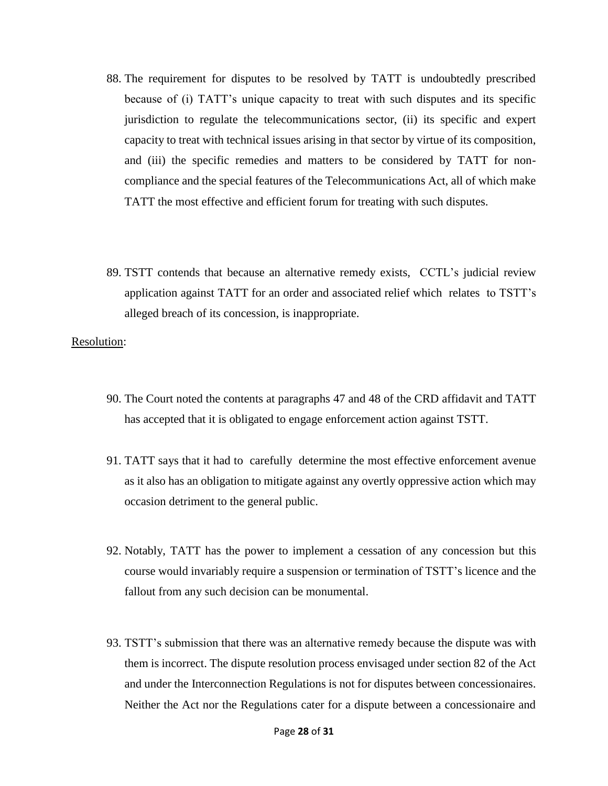- 88. The requirement for disputes to be resolved by TATT is undoubtedly prescribed because of (i) TATT's unique capacity to treat with such disputes and its specific jurisdiction to regulate the telecommunications sector, (ii) its specific and expert capacity to treat with technical issues arising in that sector by virtue of its composition, and (iii) the specific remedies and matters to be considered by TATT for noncompliance and the special features of the Telecommunications Act, all of which make TATT the most effective and efficient forum for treating with such disputes.
- 89. TSTT contends that because an alternative remedy exists, CCTL's judicial review application against TATT for an order and associated relief which relates to TSTT's alleged breach of its concession, is inappropriate.

Resolution:

- 90. The Court noted the contents at paragraphs 47 and 48 of the CRD affidavit and TATT has accepted that it is obligated to engage enforcement action against TSTT.
- 91. TATT says that it had to carefully determine the most effective enforcement avenue as it also has an obligation to mitigate against any overtly oppressive action which may occasion detriment to the general public.
- 92. Notably, TATT has the power to implement a cessation of any concession but this course would invariably require a suspension or termination of TSTT's licence and the fallout from any such decision can be monumental.
- 93. TSTT's submission that there was an alternative remedy because the dispute was with them is incorrect. The dispute resolution process envisaged under section 82 of the Act and under the Interconnection Regulations is not for disputes between concessionaires. Neither the Act nor the Regulations cater for a dispute between a concessionaire and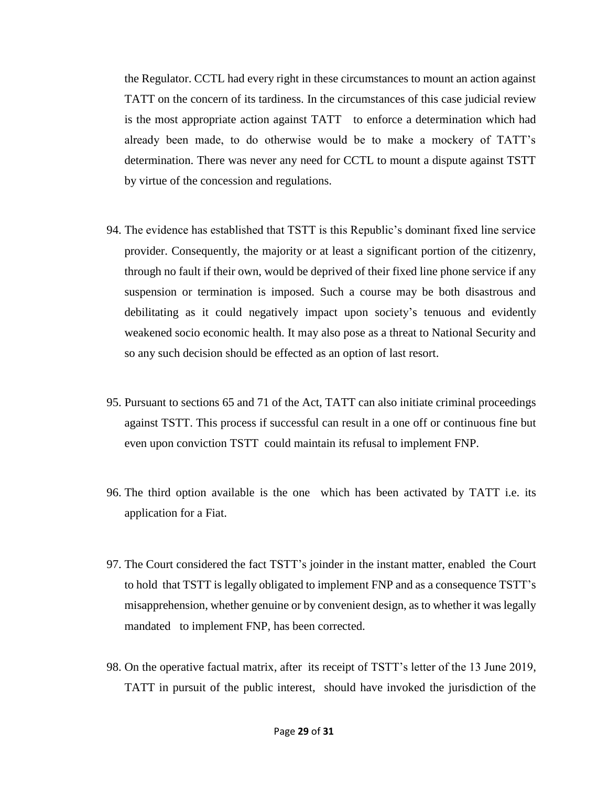the Regulator. CCTL had every right in these circumstances to mount an action against TATT on the concern of its tardiness. In the circumstances of this case judicial review is the most appropriate action against TATT to enforce a determination which had already been made, to do otherwise would be to make a mockery of TATT's determination. There was never any need for CCTL to mount a dispute against TSTT by virtue of the concession and regulations.

- 94. The evidence has established that TSTT is this Republic's dominant fixed line service provider. Consequently, the majority or at least a significant portion of the citizenry, through no fault if their own, would be deprived of their fixed line phone service if any suspension or termination is imposed. Such a course may be both disastrous and debilitating as it could negatively impact upon society's tenuous and evidently weakened socio economic health. It may also pose as a threat to National Security and so any such decision should be effected as an option of last resort.
- 95. Pursuant to sections 65 and 71 of the Act, TATT can also initiate criminal proceedings against TSTT. This process if successful can result in a one off or continuous fine but even upon conviction TSTT could maintain its refusal to implement FNP.
- 96. The third option available is the one which has been activated by TATT i.e. its application for a Fiat.
- 97. The Court considered the fact TSTT's joinder in the instant matter, enabled the Court to hold that TSTT is legally obligated to implement FNP and as a consequence TSTT's misapprehension, whether genuine or by convenient design, as to whether it was legally mandated to implement FNP, has been corrected.
- 98. On the operative factual matrix, after its receipt of TSTT's letter of the 13 June 2019, TATT in pursuit of the public interest, should have invoked the jurisdiction of the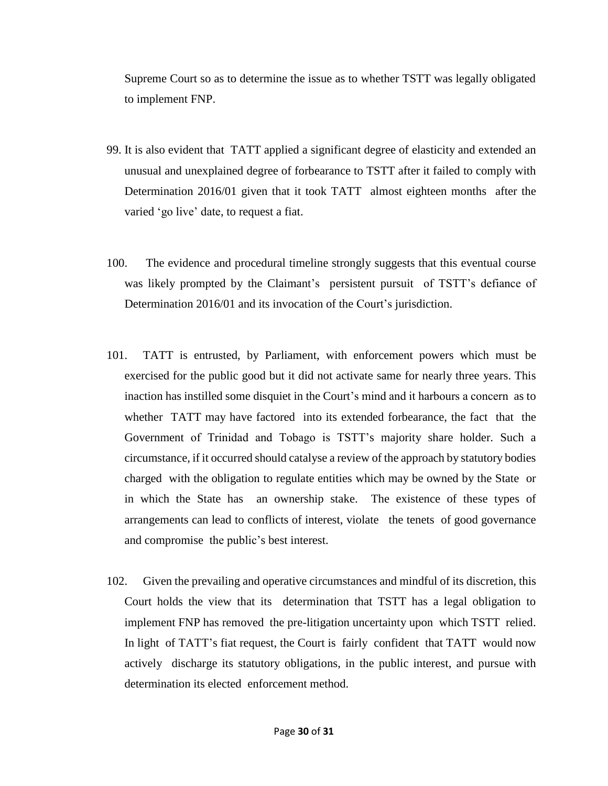Supreme Court so as to determine the issue as to whether TSTT was legally obligated to implement FNP.

- 99. It is also evident that TATT applied a significant degree of elasticity and extended an unusual and unexplained degree of forbearance to TSTT after it failed to comply with Determination 2016/01 given that it took TATT almost eighteen months after the varied 'go live' date, to request a fiat.
- 100. The evidence and procedural timeline strongly suggests that this eventual course was likely prompted by the Claimant's persistent pursuit of TSTT's defiance of Determination 2016/01 and its invocation of the Court's jurisdiction.
- 101. TATT is entrusted, by Parliament, with enforcement powers which must be exercised for the public good but it did not activate same for nearly three years. This inaction has instilled some disquiet in the Court's mind and it harbours a concern as to whether TATT may have factored into its extended forbearance, the fact that the Government of Trinidad and Tobago is TSTT's majority share holder. Such a circumstance, if it occurred should catalyse a review of the approach by statutory bodies charged with the obligation to regulate entities which may be owned by the State or in which the State has an ownership stake. The existence of these types of arrangements can lead to conflicts of interest, violate the tenets of good governance and compromise the public's best interest.
- 102. Given the prevailing and operative circumstances and mindful of its discretion, this Court holds the view that its determination that TSTT has a legal obligation to implement FNP has removed the pre-litigation uncertainty upon which TSTT relied. In light of TATT's fiat request, the Court is fairly confident that TATT would now actively discharge its statutory obligations, in the public interest, and pursue with determination its elected enforcement method.